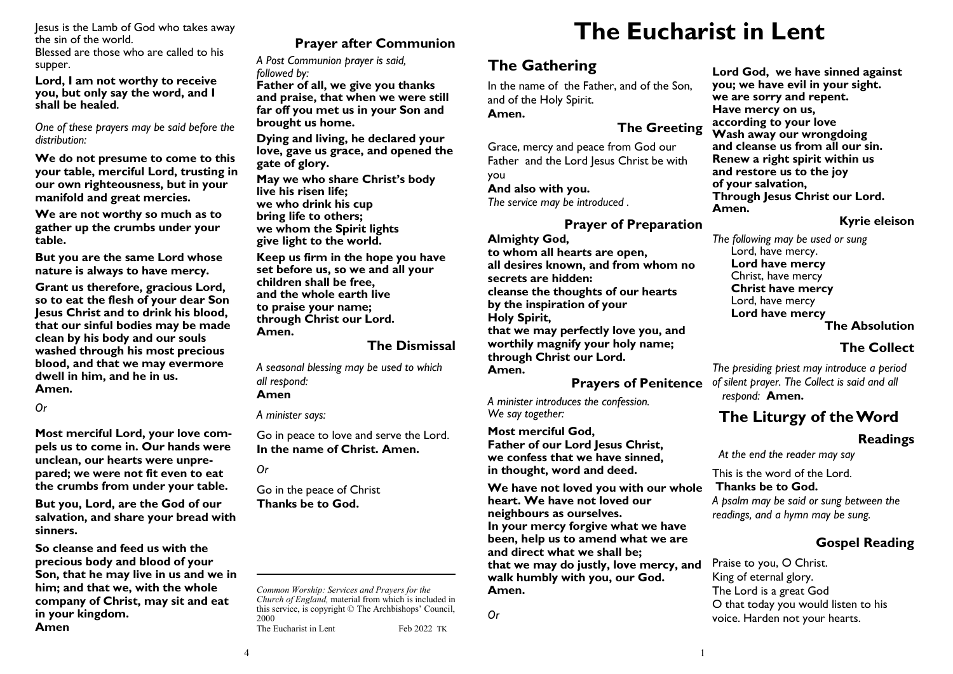Jesus is the Lamb of God who takes away the sin of the world. Blessed are those who are called to his supper.

**Lord, I am not worthy to receive you, but only say the word, and I shall be healed.**

*One of these prayers may be said before the distribution:*

**We do not presume to come to this your table, merciful Lord, trusting in our own righteousness, but in your manifold and great mercies.**

**We are not worthy so much as to gather up the crumbs under your table.**

**But you are the same Lord whose nature is always to have mercy.**

**Grant us therefore, gracious Lord, so to eat the flesh of your dear Son Jesus Christ and to drink his blood, that our sinful bodies may be made clean by his body and our souls washed through his most precious blood, and that we may evermore dwell in him, and he in us. Amen.**

*Or*

**Most merciful Lord, your love compels us to come in. Our hands were unclean, our hearts were unprepared; we were not fit even to eat the crumbs from under your table.** 

**But you, Lord, are the God of our salvation, and share your bread with sinners.** 

**So cleanse and feed us with the precious body and blood of your Son, that he may live in us and we in him; and that we, with the whole company of Christ, may sit and eat in your kingdom. Amen**

# **Prayer after Communion**

*A Post Communion prayer is said, followed by:*

**Father of all, we give you thanks and praise, that when we were still far off you met us in your Son and brought us home.** 

**Dying and living, he declared your love, gave us grace, and opened the gate of glory.**

**May we who share Christ's body live his risen life; we who drink his cup bring life to others; we whom the Spirit lights give light to the world.**

**Keep us firm in the hope you have set before us, so we and all your children shall be free, and the whole earth live to praise your name; through Christ our Lord. Amen.**

#### **The Dismissal**

*A seasonal blessing may be used to which all respond:* **Amen**

*A minister says:*

Go in peace to love and serve the Lord. **In the name of Christ. Amen.**

*Or*

Go in the peace of Christ **Thanks be to God.**

*Common Worship: Services and Prayers for the Church of England,* material from which is included in this service, is copyright © The Archbishops' Council, 2000 The Eucharist in Lent Feb 2022 TK

# **The Eucharist in Lent**

# **The Gathering**

In the name of the Father, and of the Son, and of the Holy Spirit. **Amen.**

## **The Greeting**

Grace, mercy and peace from God our Father and the Lord Jesus Christ be with you **And also with you.** *The service may be introduced .*

#### **Prayer of Preparation**

**Almighty God, to whom all hearts are open, all desires known, and from whom no secrets are hidden: cleanse the thoughts of our hearts by the inspiration of your Holy Spirit, that we may perfectly love you, and worthily magnify your holy name; through Christ our Lord. Amen.**

**Prayers of Penitence**

*A minister introduces the confession. We say together:*

**Most merciful God, Father of our Lord Jesus Christ, we confess that we have sinned, in thought, word and deed.**

**We have not loved you with our whole heart. We have not loved our neighbours as ourselves. In your mercy forgive what we have been, help us to amend what we are and direct what we shall be; that we may do justly, love mercy, and walk humbly with you, our God. Amen.**

*Or*

**Lord God, we have sinned against you; we have evil in your sight. we are sorry and repent. Have mercy on us, according to your love Wash away our wrongdoing and cleanse us from all our sin. Renew a right spirit within us and restore us to the joy of your salvation, Through Jesus Christ our Lord. Amen.**

#### **Kyrie eleison**

*The following may be used or sung* Lord, have mercy. **Lord have mercy** Christ, have mercy **Christ have mercy** Lord, have mercy **Lord have mercy The Absolution**

# **The Collect**

 *The presiding priest may introduce a period of silent prayer. The Collect is said and all respond:* **Amen.**

# **The Liturgy of the Word**

#### **Readings**

 *At the end the reader may say*

This is the word of the Lord.

**Thanks be to God.**

*A psalm may be said or sung between the readings, and a hymn may be sung.*

# **Gospel Reading**

Praise to you, O Christ. King of eternal glory. The Lord is a great God O that today you would listen to his voice. Harden not your hearts.